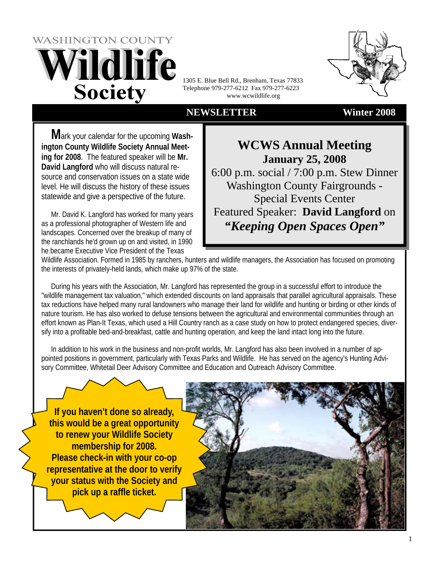# **WASHINGTON COUNTY** Wildlife Society



1305 E. Blue Bell Rd., Brenham, Texas 77833 Telephone 979-277-6212 Fax 979-277-6223 www.wcwildlife.org

### **NEWSLETTER Winter 2008**

**M**ark your calendar for the upcoming **Washington County Wildlife Society Annual Meeting for 2008**. The featured speaker will be **Mr. David Langford** who will discuss natural resource and conservation issues on a state wide level. He will discuss the history of these issues statewide and give a perspective of the future.

Mr. David K. Langford has worked for many years as a professional photographer of Western life and landscapes. Concerned over the breakup of many of the ranchlands he'd grown up on and visited, in 1990 he became Executive Vice President of the Texas

# **WCWS Annual Meeting January 25, 2008**  6:00 p.m. social / 7:00 p.m. Stew Dinner Washington County Fairgrounds - Special Events Center Featured Speaker: **David Langford** on *"Keeping Open Spaces Open"*

Wildlife Association. Formed in 1985 by ranchers, hunters and wildlife managers, the Association has focused on promoting the interests of privately-held lands, which make up 97% of the state.

During his years with the Association, Mr. Langford has represented the group in a successful effort to introduce the "wildlife management tax valuation," which extended discounts on land appraisals that parallel agricultural appraisals. These tax reductions have helped many rural landowners who manage their land for wildlife and hunting or birding or other kinds of nature tourism. He has also worked to defuse tensions between the agricultural and environmental communities through an effort known as Plan-It Texas, which used a Hill Country ranch as a case study on how to protect endangered species, diversify into a profitable bed-and-breakfast, cattle and hunting operation, and keep the land intact long into the future.

In addition to his work in the business and non-profit worlds, Mr. Langford has also been involved in a number of appointed positions in government, particularly with Texas Parks and Wildlife. He has served on the agency's Hunting Advisory Committee, Whitetail Deer Advisory Committee and Education and Outreach Advisory Committee.

**If you haven't done so already, this would be a great opportunity to renew your Wildlife Society membership for 2008. Please check-in with your co-op representative at the door to verify your status with the Society and pick up a raffle ticket.**

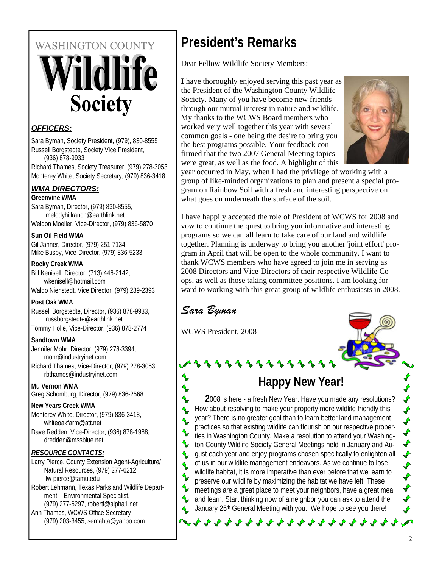# **WASHINGTON COUNTY ildlife Society**

### *OFFICERS:*

Sara Byman, Society President, (979), 830-8555 Russell Borgstedte, Society Vice President, (936) 878-9933 Richard Thames, Society Treasurer, (979) 278-3053 Monterey White, Society Secretary, (979) 836-3418

### *WMA DIRECTORS:*

**Greenvine WMA** 

Sara Byman, Director, (979) 830-8555, melodyhillranch@earthlink.net Weldon Moeller, Vice-Director, (979) 836-5870

### **Sun Oil Field WMA**

Gil Janner, Director, (979) 251-7134 Mike Busby, Vice-Director, (979) 836-5233

**Rocky Creek WMA**  Bill Kenisell, Director, (713) 446-2142, wkenisell@hotmail.com Waldo Nienstedt, Vice Director, (979) 289-2393

### **Post Oak WMA**

Russell Borgstedte, Director, (936) 878-9933, russborgstedte@earthlink.net Tommy Holle, Vice-Director, (936) 878-2774

### **Sandtown WMA**

Jennifer Mohr, Director, (979) 278-3394, mohr@industryinet.com Richard Thames, Vice-Director, (979) 278-3053, rbthames@industryinet.com

**Mt. Vernon WMA**  Greg Schomburg, Director, (979) 836-2568

### **New Years Creek WMA**

Monterey White, Director, (979) 836-3418, whiteoakfarm@att.net

Dave Redden, Vice-Director, (936) 878-1988, dredden@mssblue.net

### *RESOURCE CONTACTS:*

Larry Pierce, County Extension Agent-Agriculture/ Natural Resources, (979) 277-6212, lw-pierce@tamu.edu

Robert Lehmann, Texas Parks and Wildlife Department – Environmental Specialist, (979) 277-6297, robertl@alpha1.net

Ann Thames, WCWS Office Secretary (979) 203-3455, semahta@yahoo.com

# **President's Remarks**

Dear Fellow Wildlife Society Members:

**I** have thoroughly enjoyed serving this past year as the President of the Washington County Wildlife Society. Many of you have become new friends through our mutual interest in nature and wildlife. My thanks to the WCWS Board members who worked very well together this year with several common goals - one being the desire to bring you the best programs possible. Your feedback confirmed that the two 2007 General Meeting topics were great, as well as the food. A highlight of this



year occurred in May, when I had the privilege of working with a group of like-minded organizations to plan and present a special program on Rainbow Soil with a fresh and interesting perspective on what goes on underneath the surface of the soil.

I have happily accepted the role of President of WCWS for 2008 and vow to continue the quest to bring you informative and interesting programs so we can all learn to take care of our land and wildlife together. Planning is underway to bring you another 'joint effort' program in April that will be open to the whole community. I want to thank WCWS members who have agreed to join me in serving as 2008 Directors and Vice-Directors of their respective Wildlife Coops, as well as those taking committee positions. I am looking forward to working with this great group of wildlife enthusiasts in 2008.

*Sara Byman* 

WCWS President, 2008

# **Happy New Year!**

**2**008 is here - a fresh New Year. Have you made any resolutions? How about resolving to make your property more wildlife friendly this  $\blacktriangle$ year? There is no greater goal than to learn better land management  $\blacktriangle$ practices so that existing wildlife can flourish on our respective proper- $\blacklozenge$ ties in Washington County. Make a resolution to attend your Washing- $\blacktriangle$ ton County Wildlife Society General Meetings held in January and August each year and enjoy programs chosen specifically to enlighten all  $\blacklozenge$ of us in our wildlife management endeavors. As we continue to lose  $\blacktriangle$ wildlife habitat, it is more imperative than ever before that we learn to  $\blacktriangle$ preserve our wildlife by maximizing the habitat we have left. These ♦ meetings are a great place to meet your neighbors, have a great meal and learn. Start thinking now of a neighbor you can ask to attend the January 25<sup>th</sup> General Meeting with you. We hope to see you there!

44444444444444444

 $\blacklozenge$  $\blacklozenge$ 

 $\blacklozenge$  $\blacklozenge$ 

 $\rightarrow$ 

 $\blacklozenge$  $\blacklozenge$ 

 $\blacklozenge$ 

 $\blacklozenge$  $\blacktriangleright$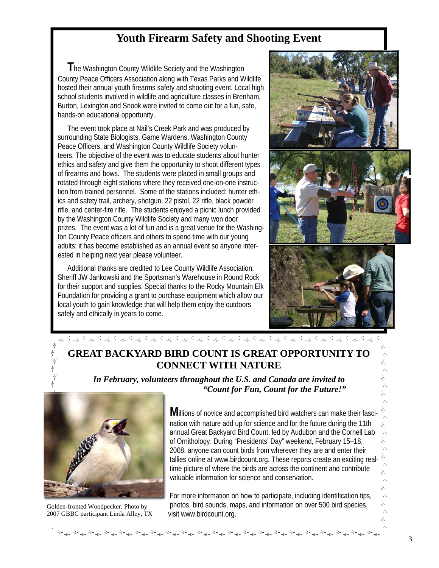### **Youth Firearm Safety and Shooting Event**

**T**he Washington County Wildlife Society and the Washington County Peace Officers Association along with Texas Parks and Wildlife hosted their annual youth firearms safety and shooting event. Local high school students involved in wildlife and agriculture classes in Brenham, Burton, Lexington and Snook were invited to come out for a fun, safe, hands-on educational opportunity.

The event took place at Nail's Creek Park and was produced by surrounding State Biologists, Game Wardens, Washington County Peace Officers, and Washington County Wildlife Society volunteers. The objective of the event was to educate students about hunter ethics and safety and give them the opportunity to shoot different types of firearms and bows. The students were placed in small groups and rotated through eight stations where they received one-on-one instruction from trained personnel. Some of the stations included: hunter ethics and safety trail, archery, shotgun, 22 pistol, 22 rifle, black powder rifle, and center-fire rifle. The students enjoyed a picnic lunch provided by the Washington County Wildlife Society and many won door prizes. The event was a lot of fun and is a great venue for the Washington County Peace officers and others to spend time with our young adults; it has become established as an annual event so anyone interested in helping next year please volunteer.

Additional thanks are credited to Lee County Wildlife Association, Sheriff JW Jankowski and the Sportsman's Warehouse in Round Rock for their support and supplies. Special thanks to the Rocky Mountain Elk Foundation for providing a grant to purchase equipment which allow our local youth to gain knowledge that will help them enjoy the outdoors safely and ethically in years to come.





## **GREAT BACKYARD BIRD COUNT IS GREAT OPPORTUNITY TO CONNECT WITH NATURE**

*In February, volunteers throughout the U.S. and Canada are invited to "Count for Fun, Count for the Future!"*



Golden-fronted Woodpecker. Photo by 2007 GBBC participant Linda Alley, TX

**M**illions of novice and accomplished bird watchers can make their fasci-赤 nation with nature add up for science and for the future during the 11th 赤 annual Great Backyard Bird Count, led by Audubon and the Cornell Lab 赤 of Ornithology. During "Presidents' Day" weekend, February 15–18, 六 木 2008, anyone can count birds from wherever they are and enter their 本 tallies online at www.birdcount.org. These reports create an exciting real-木 time picture of where the birds are across the continent and contribute 本 valuable information for science and conservation. )<br>本

For more information on how to participate, including identification tips, photos, bird sounds, maps, and information on over 500 bird species, visit www.birdcount.org.

木 本 木 小 木 赤 木

赤 .<br>Ж 本 .<br>Ж 赤